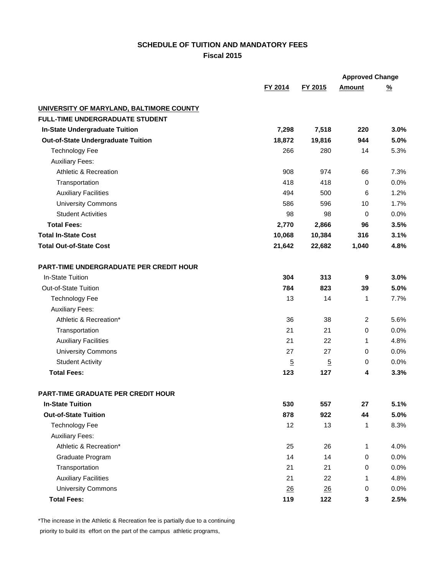## **SCHEDULE OF TUITION AND MANDATORY FEES Fiscal 2015**

|                                                |                 |                | <b>Approved Change</b> |          |
|------------------------------------------------|-----------------|----------------|------------------------|----------|
|                                                | FY 2014         | FY 2015        | <b>Amount</b>          | <u>%</u> |
| UNIVERSITY OF MARYLAND, BALTIMORE COUNTY       |                 |                |                        |          |
| FULL-TIME UNDERGRADUATE STUDENT                |                 |                |                        |          |
| <b>In-State Undergraduate Tuition</b>          | 7,298           | 7,518          | 220                    | 3.0%     |
| <b>Out-of-State Undergraduate Tuition</b>      | 18,872          | 19,816         | 944                    | 5.0%     |
| <b>Technology Fee</b>                          | 266             | 280            | 14                     | 5.3%     |
| <b>Auxiliary Fees:</b>                         |                 |                |                        |          |
| <b>Athletic &amp; Recreation</b>               | 908             | 974            | 66                     | 7.3%     |
| Transportation                                 | 418             | 418            | $\mathbf 0$            | 0.0%     |
| <b>Auxiliary Facilities</b>                    | 494             | 500            | 6                      | 1.2%     |
| <b>University Commons</b>                      | 586             | 596            | 10                     | 1.7%     |
| <b>Student Activities</b>                      | 98              | 98             | 0                      | 0.0%     |
| <b>Total Fees:</b>                             | 2,770           | 2,866          | 96                     | 3.5%     |
| <b>Total In-State Cost</b>                     | 10,068          | 10,384         | 316                    | 3.1%     |
| <b>Total Out-of-State Cost</b>                 | 21,642          | 22,682         | 1,040                  | 4.8%     |
| <b>PART-TIME UNDERGRADUATE PER CREDIT HOUR</b> |                 |                |                        |          |
| In-State Tuition                               | 304             | 313            | 9                      | 3.0%     |
| <b>Out-of-State Tuition</b>                    | 784             | 823            | 39                     | 5.0%     |
| <b>Technology Fee</b>                          | 13              | 14             | 1                      | 7.7%     |
| <b>Auxiliary Fees:</b>                         |                 |                |                        |          |
| Athletic & Recreation*                         | 36              | 38             | $\overline{2}$         | 5.6%     |
| Transportation                                 | 21              | 21             | 0                      | 0.0%     |
| <b>Auxiliary Facilities</b>                    | 21              | 22             | 1                      | 4.8%     |
| <b>University Commons</b>                      | 27              | 27             | 0                      | 0.0%     |
| <b>Student Activity</b>                        | $\overline{5}$  | $\overline{5}$ | 0                      | 0.0%     |
| <b>Total Fees:</b>                             | 123             | 127            | 4                      | 3.3%     |
| <b>PART-TIME GRADUATE PER CREDIT HOUR</b>      |                 |                |                        |          |
| <b>In-State Tuition</b>                        | 530             | 557            | 27                     | 5.1%     |
| <b>Out-of-State Tuition</b>                    | 878             | 922            | 44                     | 5.0%     |
| <b>Technology Fee</b>                          | 12              | 13             | 1                      | 8.3%     |
| <b>Auxiliary Fees:</b>                         |                 |                |                        |          |
| Athletic & Recreation*                         | 25              | 26             | 1                      | 4.0%     |
| Graduate Program                               | 14              | 14             | 0                      | 0.0%     |
| Transportation                                 | 21              | 21             | 0                      | 0.0%     |
| <b>Auxiliary Facilities</b>                    | 21              | 22             | 1                      | 4.8%     |
| <b>University Commons</b>                      | $\overline{26}$ | $\frac{26}{5}$ | 0                      | 0.0%     |
| <b>Total Fees:</b>                             | 119             | 122            | 3                      | 2.5%     |

\*The increase in the Athletic & Recreation fee is partially due to a continuing

priority to build its effort on the part of the campus athletic programs,